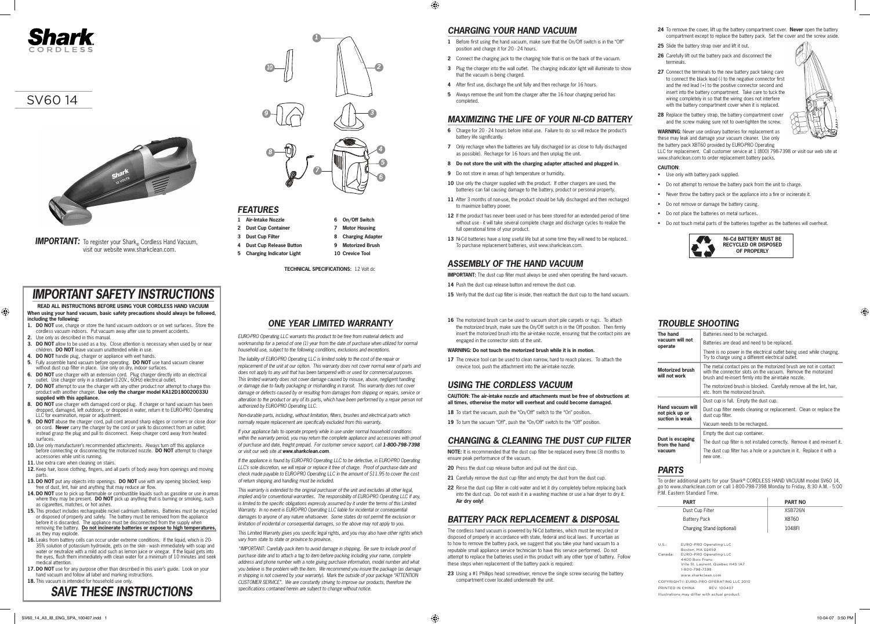## *CHARGING YOUR HAND VACUUM*

⊕

- **1** Before first using the hand vacuum, make sure that the On/Off switch is in the "Off" position and charge it for 20 - 24 hours.
- **2** Connect the charging jack to the charging hole that is on the back of the vacuum.
- **3** Plug the charger into the wall outlet. The charging indicator light will illuminate to show that the vacuum is being charged.
- **4** After first use, discharge the unit fully and then recharge for 16 hours.
- **5** Always remove the unit from the charger after the 16 hour charging period has completed.

### *MAXIMIZING THE LIFE OF YOUR NI-CD BATTERY*

- **14** Push the dust cup release button and remove the dust cup.
- 15 Verify that the dust cup filter is inside, then reattach the dust cup to the hand vacuum.
- **16** The motorized brush can be used to vacuum short pile carpets or rugs. To attach the motorized brush, make sure the On/Off switch is in the Off position. Then firmly insert the motorized brush into the air-intake nozzle, ensuring that the contact pins are engaged in the connector slots of the unit.
- **6** Charge for 20 24 hours before initial use. Failure to do so will reduce the product's battery life significantly.
- **7** Only recharge when the batteries are fully discharged (or as close to fully discharged as possible). Recharge for 16 hours and then unplug the unit.
- **8 Do not store the unit with the charging adapter attached and plugged in.**
- **9** Do not store in areas of high temperature or humidity
- 10 Use only the charger supplied with the product. If other chargers are used, the batteries can fail causing damage to the battery, product or personal property.
- **11** After 3 months of non-use, the product should be fully discharged and then recharged to maximize battery power.
- **12** If the product has never been used or has been stored for an extended period of time without use - it will take several complete charge and discharge cycles to realize the full operational time of your product.
- 13 Ni-Cd batteries have a long useful life but at some time they will need to be replaced. To purchase replacement batteries, visit www.sharkclean.com.

## *ASSEMBLY OF THE HAND VACUUM*

**IMPORTANT:** The dust cup filter must always be used when operating the hand vacuum.

#### **WARNING: Do not touch the motorized brush while it is in motion.**

**17** The crevice tool can be used to clean narrow, hard to reach places. To attach the crevice tool, push the attachment into the air-intake nozzle.

### *USING THE CORDLESS VACUUM*

**CAUTION: The air-intake nozzle and attachments must be free of obstructions at all times, otherwise the motor will overheat and could become damaged.**

- **18** To start the vacuum, push the "On/Off" switch to the "On" position.
- 19 To turn the vacuum "Off", push the "On/Off" switch to the "Off" position.

### *CHANGING & CLEANING THE DUST CUP FILTER*

**NOTE:** It is recommended that the dust cup filter be replaced every three (3) months to ensure peak performance of the vacuum.

- **20** Press the dust cup release button and pull out the dust cup.
- 21 Carefully remove the dust cup filter and empty the dust from the dust cup.
- **22** Rinse the dust cup filter in cold water and let it dry completely before replacing back into the dust cup. Do not wash it in a washing machine or use a hair dryer to dry it. **Air dry only!**

# *BATTERY PACK REPLACEMENT & DISPOSAL*

The cordless hand vacuum is powered by Ni-Cd batteries, which must be recycled or disposed of properly in accordance with state, federal and local laws. If uncertain as to how to remove the battery pack, we suggest that you take your hand vacuum to a reputable small appliance service technician to have this service performed. Do not attempt to replace the batteries used in this product with any other type of battery. Follow these steps when replacement of the battery pack is required:

**23** Using a #1 Phillips head screwdriver, remove the single screw securing the battery compartment cover located underneath the unit.

**TECHNICAL SPECIFICATIONS:** 12 Volt dc

- **1 Air-Intake Nozzle**
- **2 Dust Cup Container**
- **3 Dust Cup Filter**
- **4 Dust Cup Release Button 5 Charging Indicator Light**
- **9 Motorized Brush 10 Crevice Tool**

**6 On/Off Switch 7 Motor Housing 8 Charging Adapter**

- **24** To remove the cover, lift up the battery compartment cover. **Never** open the battery compartment except to replace the battery pack. Set the cover and the screw aside.
- **25** Slide the battery strap over and lift it out.
- **26** Carefully lift out the battery pack and disconnect the terminals.
- 27 Connect the terminals to the new battery pack taking care to connect the black lead (-) to the negative connector first and the red lead (+) to the positive connector second and insert into the battery compartment. Take care to tuck the wiring completely in so that the wiring does not interfere with the battery compartment cover when it is replaced.
- **28** Replace the battery strap, the battery compartment cover and the screw making sure not to over-tighten the screw.

**WARNING**: Never use ordinary batteries for replacement as these may leak and damage your vacuum cleaner. Use only the battery pack XBT60 provided by EURO-PRO Operating

LLC for replacement. Call customer service at 1 (800) 798-7398 or visit our web site at www.sharkclean.com to order replacement battery packs.

### **CAUTION**:

- • Use only with battery pack supplied.
- • Do not attempt to remove the battery pack from the unit to charge.
- Never throw the battery pack or the appliance into a fire or incinerate it.
- • Do not remove or damage the battery casing.
- • Do not place the batteries on metal surfaces.
- • Do not touch metal parts of the batteries together as the batteries will overheat.

# *TROUBLE SHOOTING*

# *PARTS*

To order additional parts for your Shark® CORDLESS HAND VACUUM model SV60 14, go to www.sharkclean.com or call 1-800-798-7398 Monday to Friday, 8:30 A.M. - 5:00 P.M. Eastern Standard Time.

## *FEATURES*

| The hand                                              | Batteries need to be recharged.                                                                                                                                                            |  |  |
|-------------------------------------------------------|--------------------------------------------------------------------------------------------------------------------------------------------------------------------------------------------|--|--|
| vacuum will not<br>operate                            | Batteries are dead and need to be replaced.                                                                                                                                                |  |  |
|                                                       | There is no power in the electrical outlet being used while charging.<br>Try to charge using a different electrical outlet.                                                                |  |  |
| <b>Motorized brush</b><br>will not work               | The metal contact pins on the motorized brush are not in contact<br>with the connector slots on the vacuum. Remove the motorized<br>brush and re-insert firmly into the air-intake nozzle. |  |  |
|                                                       | The motorized brush is blocked. Carefully remove all the lint, hair,<br>etc. from the motorized brush.                                                                                     |  |  |
|                                                       | Dust cup is full. Empty the dust cup.                                                                                                                                                      |  |  |
| Hand vacuum will<br>not pick up or<br>suction is weak | Dust cup filter needs cleaning or replacement. Clean or replace the<br>dust cup filter.                                                                                                    |  |  |
|                                                       | Vacuum needs to be recharged.                                                                                                                                                              |  |  |
|                                                       | Empty the dust cup container.                                                                                                                                                              |  |  |
| Dust is escaping<br>from the hand                     | The dust cup filter is not installed correctly. Remove it and re-insert it.                                                                                                                |  |  |
| vacuum                                                | The dust cup filter has a hole or a puncture in it. Replace it with a<br>new one.                                                                                                          |  |  |



**IMPORTANT:** To register your Shark® Cordless Hand Vacuum, visit our website www.sharkclean.com.

# *SAVE THESE INSTRUCTIONS*

### *ONE YEAR LIMITED WARRANTY*

*EURO-PRO Operating LLC warrants this product to be free from material defects and workmanship for a period of one (1) year from the date of purchase when utilized for normal household use, subject to the following conditions, exclusions and exceptions.*

*The liability of EURO-PRO Operating LLC is limited solely to the cost of the repair or replacement of the unit at our option. This warranty does not cover normal wear of parts and does not apply to any unit that has been tampered with or used for commercial purposes. This limited warranty does not cover damage caused by misuse, abuse, negligent handling or damage due to faulty packaging or mishandling in transit. This warranty does not cover damage or defects caused by or resulting from damages from shipping or repairs, service or alteration to the product or any of its parts, which have been performed by a repair person not authorized by EURO-PRO Operating LLC.*

*Non-durable parts, including, without limitation, filters, brushes and electrical parts which normally require replacement are specifically excluded from this warranty.*

*If your appliance fails to operate properly while in use under normal household conditions*  within the warranty period, you may return the complete appliance and accessories with proof of purchase and date, freight prepaid. For customer service support, call 1-800-798-7398 *or visit our web site at www.sharkclean.com.*

*If the appliance is found by EURO-PRO Operating LLC to be defective, in EURO-PRO Operating LLC's sole discretion, we will repair or replace it free of charge. Proof of purchase date and check made payable to EURO-PRO Operating LLC in the amount of \$11.95 to cover the cost of return shipping and handling must be included.*

*This warranty is extended to the original purchaser of the unit and excludes all other legal, implied and/or conventional warranties. The responsibility of EURO-PRO Operating LLC if any, is limited to the specific obligations expressly assumed by it under the terms of this Limited Warranty. In no event is EURO-PRO Operating LLC liable for incidental or consequential damages to anyone of any nature whatsoever. Some states do not permit the exclusion or limitation of incidental or consequential damages, so the above may not apply to you.*

*This Limited Warranty gives you specific legal rights, and you may also have other rights which vary from state to state or province to province.* 

|         | <b>PART</b>                                          | <b>PART NO</b> |
|---------|------------------------------------------------------|----------------|
|         | Dust Cup Filter                                      | XSB726N        |
|         | <b>Battery Pack</b>                                  | XBT60          |
|         | Charging Stand (optional)                            | 1048FI         |
|         |                                                      |                |
| U.S.:   | EURO-PRO Operating LLC<br>Boston, MA 02459           |                |
| Canada: | EURO-PRO Operating LLC                               |                |
|         | 4400 Bois Franc<br>Ville St. Laurent, Québec H4S 1A7 |                |
|         | 1-800-798-7398                                       |                |
|         | www.sharkclean.com                                   |                |

*\*IMPORTANT: Carefully pack item to avoid damage in shipping. Be sure to include proof of purchase date and to attach a tag to item before packing including your name, complete address and phone number with a note giving purchase information, model number and what you believe is the problem with the item. We recommend you insure the package (as damage in shipping is not covered by your warranty). Mark the outside of your package "ATTENTION CUSTOMER SERVICE". We are constantly striving to improve our products, therefore the specifications contained herein are subject to change without notice.*

# *IMPORTANT SAFETY INSTRUCTIONS*

#### **READ ALL INSTRUCTIONS BEFORE USING YOUR CORDLESS HAND VACUUM When using your hand vacuum, basic safety precautions should always be followed, including the following:**

- **1. DO NOT** use, charge or store the hand vacuum outdoors or on wet surfaces. Store the cordless vacuum indoors. Put vacuum away after use to prevent accidents.
- **2.** Use only as described in this manual.

 $\bigoplus$ 

- **3. DO NOT** allow to be used as a toy. Close attention is necessary when used by or near children. **DO NOT** leave vacuum unattended while in use.
- **4. DO NOT** handle plug, charger or appliance with wet hands.
- **5.** Fully assemble hand vacuum before operating. **DO NOT** use hand vacuum cleaner without dust cup filter in place. Use only on dry, indoor surfaces.
- **6. DO NOT** use charger with an extension cord. Plug charger directly into an electrical outlet. Use charger only in a standard (120V., 60Hz) electrical outlet.
- **7. DO NOT** attempt to use the charger with any other product nor attempt to charge this product with another charger. **Use only the charger model KA12D180020033U supplied with this appliance.**
- **8. DO NOT** use charger with damaged cord or plug. If charger or hand vacuum has been dropped, damaged, left outdoors, or dropped in water, return it to EURO-PRO Operating LLC for examination, repair or adjustment.
- **9. DO NOT** abuse the charger cord, pull cord around sharp edges or corners or close door on cord. **Never** carry the charger by the cord or yank to disconnect from an outlet; instead grasp the plug and pull to disconnect. Keep charger cord away from heated surfaces.
- **10.** Use only manufacturer's recommended attachments. Always turn off this appliance before connecting or disconnecting the motorized nozzle. **DO NOT** attempt to change accessories while unit is running.
- 11. Use extra care when cleaning on stairs.
- **12.** Keep hair, loose clothing, fingers, and all parts of body away from openings and moving parts.
- **13. DO NOT** put any objects into openings. **DO NOT** use with any opening blocked; keep free of dust, lint, hair and anything that may reduce air flow.
- **14. DO NOT** use to pick up flammable or combustible liquids such as gasoline or use in areas where they may be present. **DO NOT** pick up anything that is burning or smoking, such as cigarettes, matches, or hot ashes.
- **15.** This product includes rechargeable nickel cadmium batteries. Batteries must be recycled or disposed of properly and safely. The battery must be removed from the appliance before it is discarded. The appliance must be disconnected from the supply when removing the battery. **Do not incinerate batteries or expose to high temperatures,** as they may explode
- 16. Leaks from battery cells can occur under extreme conditions. If the liquid, which is 20-35% solution of potassium hydroxide, gets on the skin - wash immediately with soap and water or neutralize with a mild acid such as lemon juice or vinegar. If the liquid gets into the eyes, flush them immediately with clean water for a minimum of 10 minutes and seek medical attention.
- **17. DO NOT** use for any purpose other than described in this user's guide. Look on your hand vacuum and follow all label and marking instructions.
- **18.** This vacuum is intended for household use only.



COPYRIGHT© EURO-PRO OPERATING LLC 2010 PRINTED IN CHINA REV. 100407 Illustrations may differ with actual product.



⊕





SV60 14